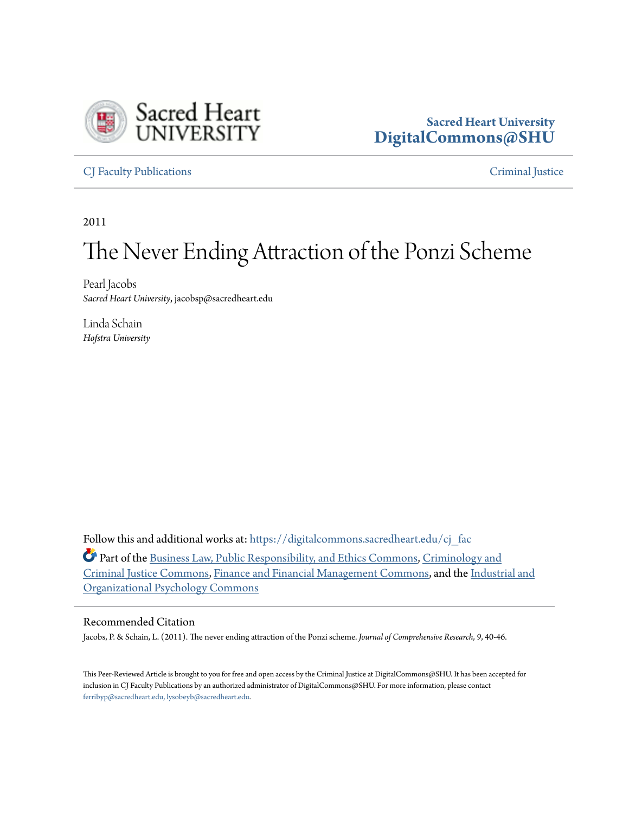

# **Sacred Heart University [DigitalCommons@SHU](https://digitalcommons.sacredheart.edu?utm_source=digitalcommons.sacredheart.edu%2Fcj_fac%2F4&utm_medium=PDF&utm_campaign=PDFCoverPages)**

## [CJ Faculty Publications](https://digitalcommons.sacredheart.edu/cj_fac?utm_source=digitalcommons.sacredheart.edu%2Fcj_fac%2F4&utm_medium=PDF&utm_campaign=PDFCoverPages) [Criminal Justice](https://digitalcommons.sacredheart.edu/cj?utm_source=digitalcommons.sacredheart.edu%2Fcj_fac%2F4&utm_medium=PDF&utm_campaign=PDFCoverPages)

2011

# The Never Ending Attraction of the Ponzi Scheme

Pearl Jacobs *Sacred Heart University*, jacobsp@sacredheart.edu

Linda Schain *Hofstra University*

Follow this and additional works at: [https://digitalcommons.sacredheart.edu/cj\\_fac](https://digitalcommons.sacredheart.edu/cj_fac?utm_source=digitalcommons.sacredheart.edu%2Fcj_fac%2F4&utm_medium=PDF&utm_campaign=PDFCoverPages)

Part of the [Business Law, Public Responsibility, and Ethics Commons,](http://network.bepress.com/hgg/discipline/628?utm_source=digitalcommons.sacredheart.edu%2Fcj_fac%2F4&utm_medium=PDF&utm_campaign=PDFCoverPages) [Criminology and](http://network.bepress.com/hgg/discipline/367?utm_source=digitalcommons.sacredheart.edu%2Fcj_fac%2F4&utm_medium=PDF&utm_campaign=PDFCoverPages) [Criminal Justice Commons](http://network.bepress.com/hgg/discipline/367?utm_source=digitalcommons.sacredheart.edu%2Fcj_fac%2F4&utm_medium=PDF&utm_campaign=PDFCoverPages), [Finance and Financial Management Commons,](http://network.bepress.com/hgg/discipline/631?utm_source=digitalcommons.sacredheart.edu%2Fcj_fac%2F4&utm_medium=PDF&utm_campaign=PDFCoverPages) and the [Industrial and](http://network.bepress.com/hgg/discipline/412?utm_source=digitalcommons.sacredheart.edu%2Fcj_fac%2F4&utm_medium=PDF&utm_campaign=PDFCoverPages) [Organizational Psychology Commons](http://network.bepress.com/hgg/discipline/412?utm_source=digitalcommons.sacredheart.edu%2Fcj_fac%2F4&utm_medium=PDF&utm_campaign=PDFCoverPages)

#### Recommended Citation

Jacobs, P. & Schain, L. (2011). The never ending attraction of the Ponzi scheme. *Journal of Comprehensive Research, 9*, 40-46.

This Peer-Reviewed Article is brought to you for free and open access by the Criminal Justice at DigitalCommons@SHU. It has been accepted for inclusion in CJ Faculty Publications by an authorized administrator of DigitalCommons@SHU. For more information, please contact [ferribyp@sacredheart.edu, lysobeyb@sacredheart.edu.](mailto:ferribyp@sacredheart.edu,%20lysobeyb@sacredheart.edu)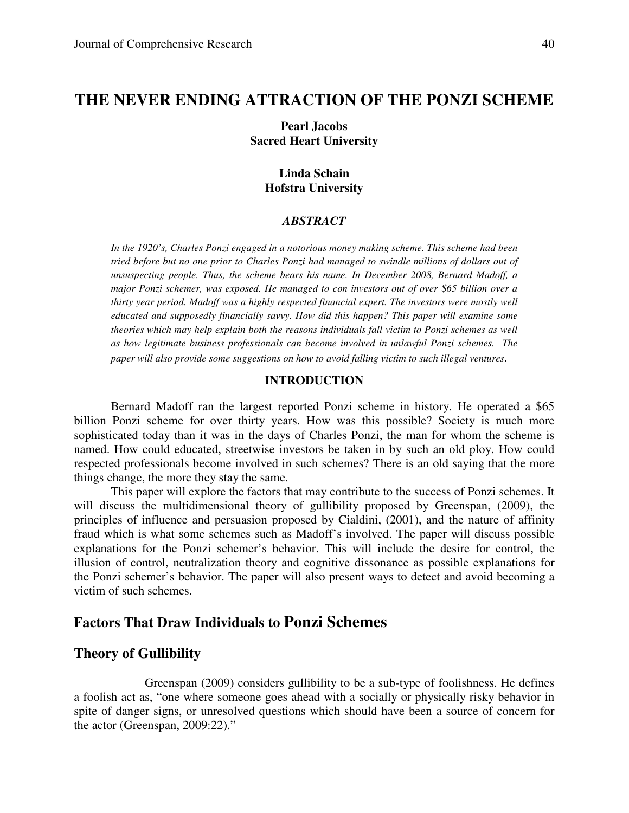## **THE NEVER ENDING ATTRACTION OF THE PONZI SCHEME**

#### **Pearl Jacobs Sacred Heart University**

#### **Linda Schain Hofstra University**

#### *ABSTRACT*

*In the 1920's, Charles Ponzi engaged in a notorious money making scheme. This scheme had been tried before but no one prior to Charles Ponzi had managed to swindle millions of dollars out of unsuspecting people. Thus, the scheme bears his name. In December 2008, Bernard Madoff, a major Ponzi schemer, was exposed. He managed to con investors out of over \$65 billion over a thirty year period. Madoff was a highly respected financial expert. The investors were mostly well educated and supposedly financially savvy. How did this happen? This paper will examine some theories which may help explain both the reasons individuals fall victim to Ponzi schemes as well as how legitimate business professionals can become involved in unlawful Ponzi schemes. The paper will also provide some suggestions on how to avoid falling victim to such illegal ventures*.

#### **INTRODUCTION**

Bernard Madoff ran the largest reported Ponzi scheme in history. He operated a \$65 billion Ponzi scheme for over thirty years. How was this possible? Society is much more sophisticated today than it was in the days of Charles Ponzi, the man for whom the scheme is named. How could educated, streetwise investors be taken in by such an old ploy. How could respected professionals become involved in such schemes? There is an old saying that the more things change, the more they stay the same.

This paper will explore the factors that may contribute to the success of Ponzi schemes. It will discuss the multidimensional theory of gullibility proposed by Greenspan, (2009), the principles of influence and persuasion proposed by Cialdini, (2001), and the nature of affinity fraud which is what some schemes such as Madoff's involved. The paper will discuss possible explanations for the Ponzi schemer's behavior. This will include the desire for control, the illusion of control, neutralization theory and cognitive dissonance as possible explanations for the Ponzi schemer's behavior. The paper will also present ways to detect and avoid becoming a victim of such schemes.

## **Factors That Draw Individuals to Ponzi Schemes**

#### **Theory of Gullibility**

 Greenspan (2009) considers gullibility to be a sub-type of foolishness. He defines a foolish act as, "one where someone goes ahead with a socially or physically risky behavior in spite of danger signs, or unresolved questions which should have been a source of concern for the actor (Greenspan, 2009:22)."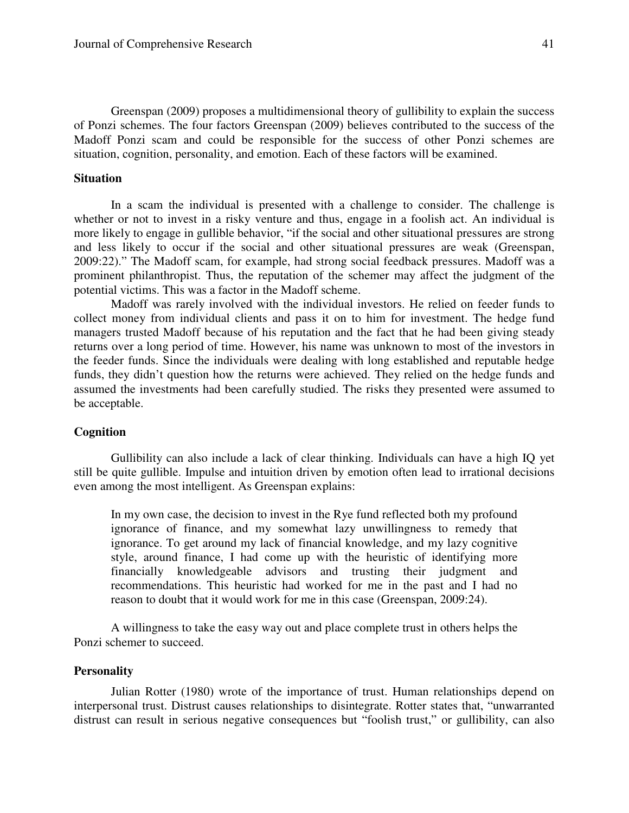Greenspan (2009) proposes a multidimensional theory of gullibility to explain the success of Ponzi schemes. The four factors Greenspan (2009) believes contributed to the success of the Madoff Ponzi scam and could be responsible for the success of other Ponzi schemes are situation, cognition, personality, and emotion. Each of these factors will be examined.

#### **Situation**

In a scam the individual is presented with a challenge to consider. The challenge is whether or not to invest in a risky venture and thus, engage in a foolish act. An individual is more likely to engage in gullible behavior, "if the social and other situational pressures are strong and less likely to occur if the social and other situational pressures are weak (Greenspan, 2009:22)." The Madoff scam, for example, had strong social feedback pressures. Madoff was a prominent philanthropist. Thus, the reputation of the schemer may affect the judgment of the potential victims. This was a factor in the Madoff scheme.

Madoff was rarely involved with the individual investors. He relied on feeder funds to collect money from individual clients and pass it on to him for investment. The hedge fund managers trusted Madoff because of his reputation and the fact that he had been giving steady returns over a long period of time. However, his name was unknown to most of the investors in the feeder funds. Since the individuals were dealing with long established and reputable hedge funds, they didn't question how the returns were achieved. They relied on the hedge funds and assumed the investments had been carefully studied. The risks they presented were assumed to be acceptable.

#### **Cognition**

Gullibility can also include a lack of clear thinking. Individuals can have a high IQ yet still be quite gullible. Impulse and intuition driven by emotion often lead to irrational decisions even among the most intelligent. As Greenspan explains:

In my own case, the decision to invest in the Rye fund reflected both my profound ignorance of finance, and my somewhat lazy unwillingness to remedy that ignorance. To get around my lack of financial knowledge, and my lazy cognitive style, around finance, I had come up with the heuristic of identifying more financially knowledgeable advisors and trusting their judgment and recommendations. This heuristic had worked for me in the past and I had no reason to doubt that it would work for me in this case (Greenspan, 2009:24).

A willingness to take the easy way out and place complete trust in others helps the Ponzi schemer to succeed.

#### **Personality**

Julian Rotter (1980) wrote of the importance of trust. Human relationships depend on interpersonal trust. Distrust causes relationships to disintegrate. Rotter states that, "unwarranted distrust can result in serious negative consequences but "foolish trust," or gullibility, can also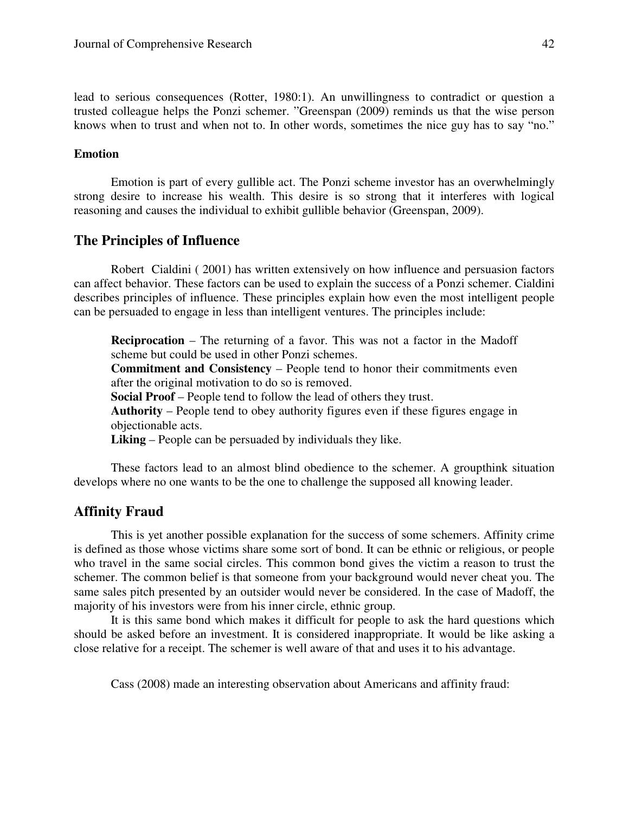lead to serious consequences (Rotter, 1980:1). An unwillingness to contradict or question a trusted colleague helps the Ponzi schemer. "Greenspan (2009) reminds us that the wise person knows when to trust and when not to. In other words, sometimes the nice guy has to say "no."

#### **Emotion**

Emotion is part of every gullible act. The Ponzi scheme investor has an overwhelmingly strong desire to increase his wealth. This desire is so strong that it interferes with logical reasoning and causes the individual to exhibit gullible behavior (Greenspan, 2009).

#### **The Principles of Influence**

Robert Cialdini ( 2001) has written extensively on how influence and persuasion factors can affect behavior. These factors can be used to explain the success of a Ponzi schemer. Cialdini describes principles of influence. These principles explain how even the most intelligent people can be persuaded to engage in less than intelligent ventures. The principles include:

**Reciprocation** – The returning of a favor. This was not a factor in the Madoff scheme but could be used in other Ponzi schemes.

**Commitment and Consistency** – People tend to honor their commitments even after the original motivation to do so is removed.

**Social Proof** – People tend to follow the lead of others they trust.

**Authority** – People tend to obey authority figures even if these figures engage in objectionable acts.

**Liking** – People can be persuaded by individuals they like.

These factors lead to an almost blind obedience to the schemer. A groupthink situation develops where no one wants to be the one to challenge the supposed all knowing leader.

## **Affinity Fraud**

This is yet another possible explanation for the success of some schemers. Affinity crime is defined as those whose victims share some sort of bond. It can be ethnic or religious, or people who travel in the same social circles. This common bond gives the victim a reason to trust the schemer. The common belief is that someone from your background would never cheat you. The same sales pitch presented by an outsider would never be considered. In the case of Madoff, the majority of his investors were from his inner circle, ethnic group.

It is this same bond which makes it difficult for people to ask the hard questions which should be asked before an investment. It is considered inappropriate. It would be like asking a close relative for a receipt. The schemer is well aware of that and uses it to his advantage.

Cass (2008) made an interesting observation about Americans and affinity fraud: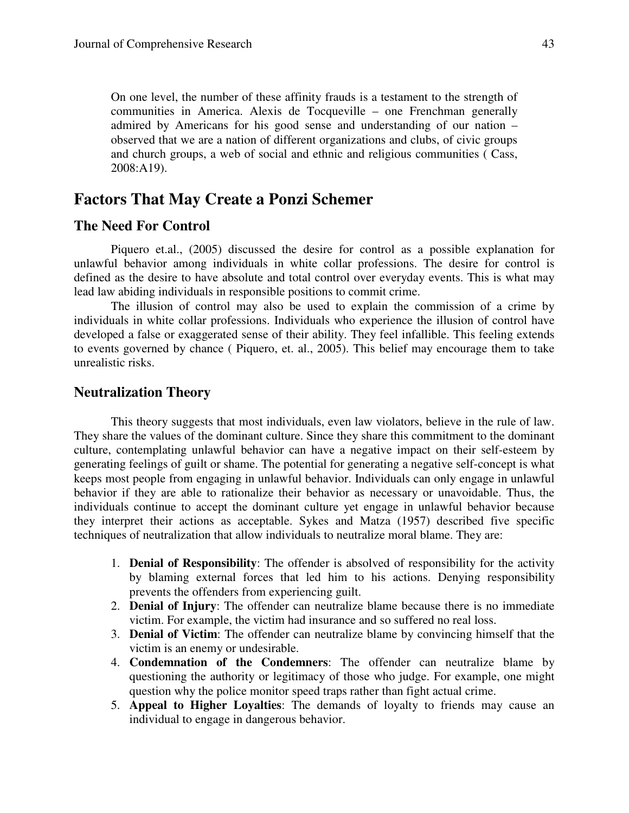On one level, the number of these affinity frauds is a testament to the strength of communities in America. Alexis de Tocqueville – one Frenchman generally admired by Americans for his good sense and understanding of our nation – observed that we are a nation of different organizations and clubs, of civic groups and church groups, a web of social and ethnic and religious communities ( Cass, 2008:A19).

# **Factors That May Create a Ponzi Schemer**

## **The Need For Control**

Piquero et.al., (2005) discussed the desire for control as a possible explanation for unlawful behavior among individuals in white collar professions. The desire for control is defined as the desire to have absolute and total control over everyday events. This is what may lead law abiding individuals in responsible positions to commit crime.

The illusion of control may also be used to explain the commission of a crime by individuals in white collar professions. Individuals who experience the illusion of control have developed a false or exaggerated sense of their ability. They feel infallible. This feeling extends to events governed by chance ( Piquero, et. al., 2005). This belief may encourage them to take unrealistic risks.

## **Neutralization Theory**

This theory suggests that most individuals, even law violators, believe in the rule of law. They share the values of the dominant culture. Since they share this commitment to the dominant culture, contemplating unlawful behavior can have a negative impact on their self-esteem by generating feelings of guilt or shame. The potential for generating a negative self-concept is what keeps most people from engaging in unlawful behavior. Individuals can only engage in unlawful behavior if they are able to rationalize their behavior as necessary or unavoidable. Thus, the individuals continue to accept the dominant culture yet engage in unlawful behavior because they interpret their actions as acceptable. Sykes and Matza (1957) described five specific techniques of neutralization that allow individuals to neutralize moral blame. They are:

- 1. **Denial of Responsibility**: The offender is absolved of responsibility for the activity by blaming external forces that led him to his actions. Denying responsibility prevents the offenders from experiencing guilt.
- 2. **Denial of Injury**: The offender can neutralize blame because there is no immediate victim. For example, the victim had insurance and so suffered no real loss.
- 3. **Denial of Victim**: The offender can neutralize blame by convincing himself that the victim is an enemy or undesirable.
- 4. **Condemnation of the Condemners**: The offender can neutralize blame by questioning the authority or legitimacy of those who judge. For example, one might question why the police monitor speed traps rather than fight actual crime.
- 5. **Appeal to Higher Loyalties**: The demands of loyalty to friends may cause an individual to engage in dangerous behavior.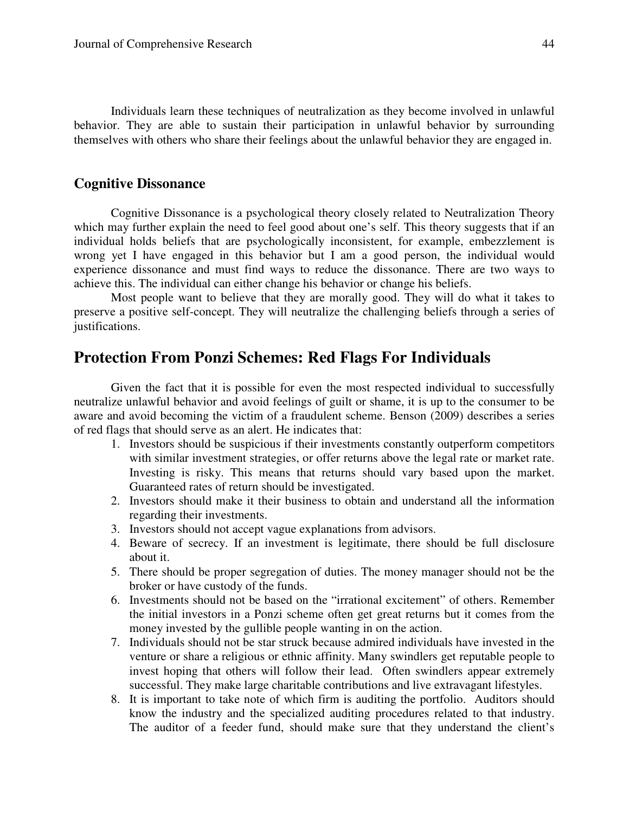Individuals learn these techniques of neutralization as they become involved in unlawful behavior. They are able to sustain their participation in unlawful behavior by surrounding themselves with others who share their feelings about the unlawful behavior they are engaged in.

## **Cognitive Dissonance**

Cognitive Dissonance is a psychological theory closely related to Neutralization Theory which may further explain the need to feel good about one's self. This theory suggests that if an individual holds beliefs that are psychologically inconsistent, for example, embezzlement is wrong yet I have engaged in this behavior but I am a good person, the individual would experience dissonance and must find ways to reduce the dissonance. There are two ways to achieve this. The individual can either change his behavior or change his beliefs.

Most people want to believe that they are morally good. They will do what it takes to preserve a positive self-concept. They will neutralize the challenging beliefs through a series of justifications.

# **Protection From Ponzi Schemes: Red Flags For Individuals**

Given the fact that it is possible for even the most respected individual to successfully neutralize unlawful behavior and avoid feelings of guilt or shame, it is up to the consumer to be aware and avoid becoming the victim of a fraudulent scheme. Benson (2009) describes a series of red flags that should serve as an alert. He indicates that:

- 1. Investors should be suspicious if their investments constantly outperform competitors with similar investment strategies, or offer returns above the legal rate or market rate. Investing is risky. This means that returns should vary based upon the market. Guaranteed rates of return should be investigated.
- 2. Investors should make it their business to obtain and understand all the information regarding their investments.
- 3. Investors should not accept vague explanations from advisors.
- 4. Beware of secrecy. If an investment is legitimate, there should be full disclosure about it.
- 5. There should be proper segregation of duties. The money manager should not be the broker or have custody of the funds.
- 6. Investments should not be based on the "irrational excitement" of others. Remember the initial investors in a Ponzi scheme often get great returns but it comes from the money invested by the gullible people wanting in on the action.
- 7. Individuals should not be star struck because admired individuals have invested in the venture or share a religious or ethnic affinity. Many swindlers get reputable people to invest hoping that others will follow their lead. Often swindlers appear extremely successful. They make large charitable contributions and live extravagant lifestyles.
- 8. It is important to take note of which firm is auditing the portfolio. Auditors should know the industry and the specialized auditing procedures related to that industry. The auditor of a feeder fund, should make sure that they understand the client's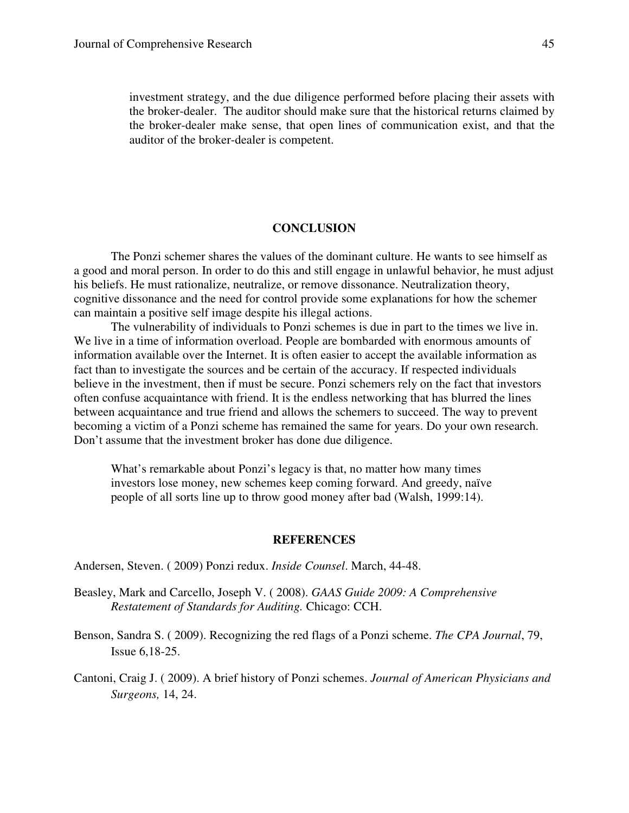investment strategy, and the due diligence performed before placing their assets with the broker-dealer. The auditor should make sure that the historical returns claimed by the broker-dealer make sense, that open lines of communication exist, and that the auditor of the broker-dealer is competent.

#### **CONCLUSION**

The Ponzi schemer shares the values of the dominant culture. He wants to see himself as a good and moral person. In order to do this and still engage in unlawful behavior, he must adjust his beliefs. He must rationalize, neutralize, or remove dissonance. Neutralization theory, cognitive dissonance and the need for control provide some explanations for how the schemer can maintain a positive self image despite his illegal actions.

The vulnerability of individuals to Ponzi schemes is due in part to the times we live in. We live in a time of information overload. People are bombarded with enormous amounts of information available over the Internet. It is often easier to accept the available information as fact than to investigate the sources and be certain of the accuracy. If respected individuals believe in the investment, then if must be secure. Ponzi schemers rely on the fact that investors often confuse acquaintance with friend. It is the endless networking that has blurred the lines between acquaintance and true friend and allows the schemers to succeed. The way to prevent becoming a victim of a Ponzi scheme has remained the same for years. Do your own research. Don't assume that the investment broker has done due diligence.

What's remarkable about Ponzi's legacy is that, no matter how many times investors lose money, new schemes keep coming forward. And greedy, naïve people of all sorts line up to throw good money after bad (Walsh, 1999:14).

#### **REFERENCES**

Andersen, Steven. ( 2009) Ponzi redux. *Inside Counsel*. March, 44-48.

Beasley, Mark and Carcello, Joseph V. ( 2008). *GAAS Guide 2009: A Comprehensive Restatement of Standards for Auditing.* Chicago: CCH.

Benson, Sandra S. ( 2009). Recognizing the red flags of a Ponzi scheme. *The CPA Journal*, 79, Issue 6,18-25.

Cantoni, Craig J. ( 2009). A brief history of Ponzi schemes. *Journal of American Physicians and Surgeons,* 14, 24.